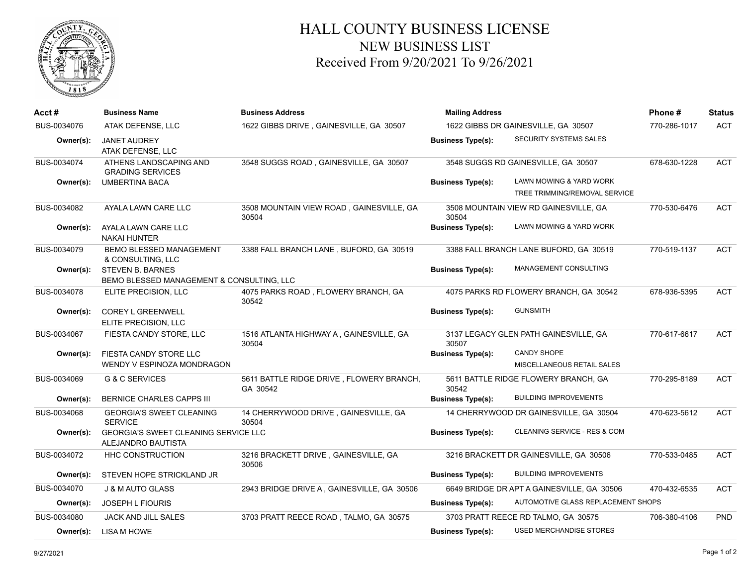

## HALL COUNTY BUSINESS LICENSE NEW BUSINESS LIST Received From 9/20/2021 To 9/26/2021

| $Acct \#$   | <b>Business Name</b>                                                 | <b>Business Address</b>                              | <b>Mailing Address</b>              |                                                          | Phone#       | <b>Status</b> |
|-------------|----------------------------------------------------------------------|------------------------------------------------------|-------------------------------------|----------------------------------------------------------|--------------|---------------|
| BUS-0034076 | ATAK DEFENSE, LLC                                                    | 1622 GIBBS DRIVE, GAINESVILLE, GA 30507              | 1622 GIBBS DR GAINESVILLE, GA 30507 |                                                          | 770-286-1017 | <b>ACT</b>    |
| Owner(s):   | <b>JANET AUDREY</b><br>ATAK DEFENSE, LLC                             |                                                      | <b>Business Type(s):</b>            | <b>SECURITY SYSTEMS SALES</b>                            |              |               |
| BUS-0034074 | ATHENS LANDSCAPING AND<br><b>GRADING SERVICES</b>                    | 3548 SUGGS ROAD, GAINESVILLE, GA 30507               |                                     | 3548 SUGGS RD GAINESVILLE, GA 30507                      | 678-630-1228 | <b>ACT</b>    |
| Owner(s):   | <b>UMBERTINA BACA</b>                                                |                                                      | <b>Business Type(s):</b>            | LAWN MOWING & YARD WORK<br>TREE TRIMMING/REMOVAL SERVICE |              |               |
| BUS-0034082 | AYALA LAWN CARE LLC                                                  | 3508 MOUNTAIN VIEW ROAD, GAINESVILLE, GA<br>30504    | 30504                               | 3508 MOUNTAIN VIEW RD GAINESVILLE, GA                    | 770-530-6476 | <b>ACT</b>    |
| Owner(s):   | AYALA LAWN CARE LLC<br><b>NAKAI HUNTER</b>                           |                                                      | <b>Business Type(s):</b>            | LAWN MOWING & YARD WORK                                  |              |               |
| BUS-0034079 | <b>BEMO BLESSED MANAGEMENT</b><br>& CONSULTING, LLC                  | 3388 FALL BRANCH LANE, BUFORD, GA 30519              |                                     | 3388 FALL BRANCH LANE BUFORD, GA 30519                   | 770-519-1137 | ACT           |
| Owner(s):   | <b>STEVEN B. BARNES</b><br>BEMO BLESSED MANAGEMENT & CONSULTING, LLC |                                                      | <b>Business Type(s):</b>            | MANAGEMENT CONSULTING                                    |              |               |
| BUS-0034078 | ELITE PRECISION, LLC                                                 | 4075 PARKS ROAD, FLOWERY BRANCH, GA<br>30542         |                                     | 4075 PARKS RD FLOWERY BRANCH, GA 30542                   | 678-936-5395 | <b>ACT</b>    |
| Owner(s):   | <b>COREY L GREENWELL</b><br>ELITE PRECISION, LLC                     |                                                      | <b>Business Type(s):</b>            | <b>GUNSMITH</b>                                          |              |               |
| BUS-0034067 | FIESTA CANDY STORE, LLC                                              | 1516 ATLANTA HIGHWAY A, GAINESVILLE, GA<br>30504     | 30507                               | 3137 LEGACY GLEN PATH GAINESVILLE, GA                    | 770-617-6617 | <b>ACT</b>    |
| Owner(s):   | FIESTA CANDY STORE LLC<br>WENDY V ESPINOZA MONDRAGON                 |                                                      | <b>Business Type(s):</b>            | <b>CANDY SHOPE</b><br>MISCELLANEOUS RETAIL SALES         |              |               |
| BUS-0034069 | <b>G &amp; C SERVICES</b>                                            | 5611 BATTLE RIDGE DRIVE, FLOWERY BRANCH,<br>GA 30542 | 30542                               | 5611 BATTLE RIDGE FLOWERY BRANCH, GA                     | 770-295-8189 | <b>ACT</b>    |
| Owner(s):   | BERNICE CHARLES CAPPS III                                            |                                                      | <b>Business Type(s):</b>            | <b>BUILDING IMPROVEMENTS</b>                             |              |               |
| BUS-0034068 | <b>GEORGIA'S SWEET CLEANING</b><br><b>SERVICE</b>                    | 14 CHERRYWOOD DRIVE, GAINESVILLE, GA<br>30504        |                                     | 14 CHERRYWOOD DR GAINESVILLE, GA 30504                   | 470-623-5612 | <b>ACT</b>    |
| Owner(s):   | <b>GEORGIA'S SWEET CLEANING SERVICE LLC</b><br>ALEJANDRO BAUTISTA    |                                                      | <b>Business Type(s):</b>            | CLEANING SERVICE - RES & COM                             |              |               |
| BUS-0034072 | HHC CONSTRUCTION                                                     | 3216 BRACKETT DRIVE, GAINESVILLE, GA<br>30506        |                                     | 3216 BRACKETT DR GAINESVILLE, GA 30506                   | 770-533-0485 | <b>ACT</b>    |
| Owner(s):   | STEVEN HOPE STRICKLAND JR                                            |                                                      | <b>Business Type(s):</b>            | <b>BUILDING IMPROVEMENTS</b>                             |              |               |
| BUS-0034070 | <b>J &amp; M AUTO GLASS</b>                                          | 2943 BRIDGE DRIVE A, GAINESVILLE, GA 30506           |                                     | 6649 BRIDGE DR APT A GAINESVILLE, GA 30506               | 470-432-6535 | <b>ACT</b>    |
| Owner(s):   | JOSEPH L FIOURIS                                                     |                                                      | <b>Business Type(s):</b>            | AUTOMOTIVE GLASS REPLACEMENT SHOPS                       |              |               |
| BUS-0034080 | <b>JACK AND JILL SALES</b>                                           | 3703 PRATT REECE ROAD, TALMO, GA 30575               |                                     | 3703 PRATT REECE RD TALMO, GA 30575                      | 706-380-4106 | <b>PND</b>    |
| Owner(s):   | LISA M HOWE                                                          |                                                      | <b>Business Type(s):</b>            | USED MERCHANDISE STORES                                  |              |               |